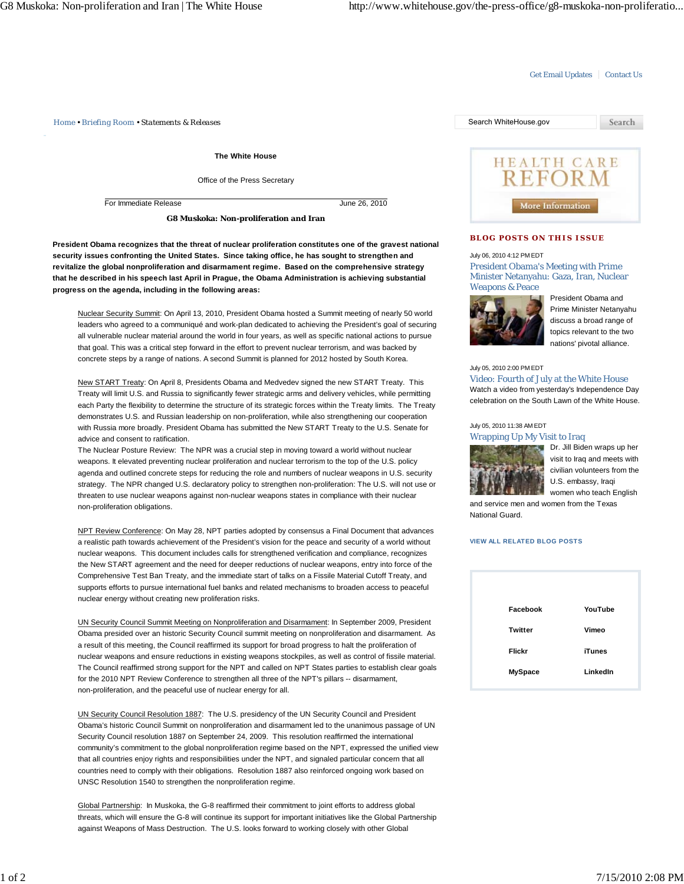### Get Email Updates | Contact Us

*Home • Briefing Room • Statements & Releases* Search WhiteHouse.gov

**The White House**

Office of the Press Secretary

For Immediate Release June 26, 2010

**G8 Muskoka: Non-proliferation and Iran**

**President Obama recognizes that the threat of nuclear proliferation constitutes one of the gravest national security issues confronting the United States. Since taking office, he has sought to strengthen and revitalize the global nonproliferation and disarmament regime. Based on the comprehensive strategy that he described in his speech last April in Prague, the Obama Administration is achieving substantial progress on the agenda, including in the following areas:**

Nuclear Security Summit: On April 13, 2010, President Obama hosted a Summit meeting of nearly 50 world leaders who agreed to a communiqué and work-plan dedicated to achieving the President's goal of securing all vulnerable nuclear material around the world in four years, as well as specific national actions to pursue that goal. This was a critical step forward in the effort to prevent nuclear terrorism, and was backed by concrete steps by a range of nations. A second Summit is planned for 2012 hosted by South Korea.

New START Treaty: On April 8, Presidents Obama and Medvedev signed the new START Treaty. This Treaty will limit U.S. and Russia to significantly fewer strategic arms and delivery vehicles, while permitting each Party the flexibility to determine the structure of its strategic forces within the Treaty limits. The Treaty demonstrates U.S. and Russian leadership on non-proliferation, while also strengthening our cooperation with Russia more broadly. President Obama has submitted the New START Treaty to the U.S. Senate for advice and consent to ratification.

The Nuclear Posture Review: The NPR was a crucial step in moving toward a world without nuclear weapons. It elevated preventing nuclear proliferation and nuclear terrorism to the top of the U.S. policy agenda and outlined concrete steps for reducing the role and numbers of nuclear weapons in U.S. security strategy. The NPR changed U.S. declaratory policy to strengthen non-proliferation: The U.S. will not use or threaten to use nuclear weapons against non-nuclear weapons states in compliance with their nuclear non-proliferation obligations.

NPT Review Conference: On May 28, NPT parties adopted by consensus a Final Document that advances a realistic path towards achievement of the President's vision for the peace and security of a world without nuclear weapons. This document includes calls for strengthened verification and compliance, recognizes the New START agreement and the need for deeper reductions of nuclear weapons, entry into force of the Comprehensive Test Ban Treaty, and the immediate start of talks on a Fissile Material Cutoff Treaty, and supports efforts to pursue international fuel banks and related mechanisms to broaden access to peaceful nuclear energy without creating new proliferation risks.

UN Security Council Summit Meeting on Nonproliferation and Disarmament: In September 2009, President Obama presided over an historic Security Council summit meeting on nonproliferation and disarmament. As a result of this meeting, the Council reaffirmed its support for broad progress to halt the proliferation of nuclear weapons and ensure reductions in existing weapons stockpiles, as well as control of fissile material. The Council reaffirmed strong support for the NPT and called on NPT States parties to establish clear goals for the 2010 NPT Review Conference to strengthen all three of the NPT's pillars -- disarmament, non-proliferation, and the peaceful use of nuclear energy for all.

UN Security Council Resolution 1887: The U.S. presidency of the UN Security Council and President Obama's historic Council Summit on nonproliferation and disarmament led to the unanimous passage of UN Security Council resolution 1887 on September 24, 2009. This resolution reaffirmed the international community's commitment to the global nonproliferation regime based on the NPT, expressed the unified view that all countries enjoy rights and responsibilities under the NPT, and signaled particular concern that all countries need to comply with their obligations. Resolution 1887 also reinforced ongoing work based on UNSC Resolution 1540 to strengthen the nonproliferation regime.

Global Partnership: In Muskoka, the G-8 reaffirmed their commitment to joint efforts to address global threats, which will ensure the G-8 will continue its support for important initiatives like the Global Partnership against Weapons of Mass Destruction. The U.S. looks forward to working closely with other Global



## **BLOG POSTS ON THIS ISSUE**

July 06, 2010 4:12 PM EDT

President Obama's Meeting with Prime Minister Netanyahu: Gaza, Iran, Nuclear Weapons & Peace



President Obama and Prime Minister Netanyahu discuss a broad range of topics relevant to the two nations' pivotal alliance.

#### July 05, 2010 2:00 PM EDT

Video: Fourth of July at the White House Watch a video from yesterday's Independence Day celebration on the South Lawn of the White House.

# July 05, 2010 11:38 AM EDT



Dr. Jill Biden wraps up her visit to Iraq and meets with civilian volunteers from the U.S. embassy, Iraqi women who teach English

and service men and women from the Texas National Guard.

## **VIEW ALL RELATED BLOG POSTS**

| YouTube       |
|---------------|
| Vimeo         |
| <b>iTunes</b> |
| LinkedIn      |
|               |